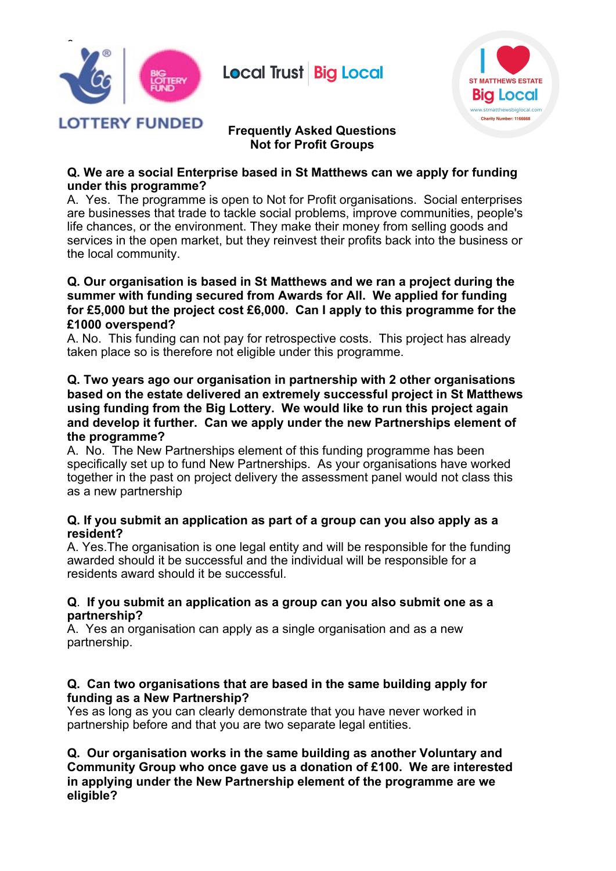

# **Local Trust Big Local**



# **Frequently Asked Questions Not for Profit Groups**

#### **Q. We are a social Enterprise based in St Matthews can we apply for funding under this programme?**

A. Yes. The programme is open to Not for Profit organisations. Social enterprises are businesses that trade to tackle social problems, improve communities, people's life chances, or the environment. They make their money from selling goods and services in the open market, but they reinvest their profits back into the business or the local community.

#### **Q. Our organisation is based in St Matthews and we ran a project during the summer with funding secured from Awards for All. We applied for funding for £5,000 but the project cost £6,000. Can I apply to this programme for the £1000 overspend?**

A. No. This funding can not pay for retrospective costs. This project has already taken place so is therefore not eligible under this programme.

#### **Q. Two years ago our organisation in partnership with 2 other organisations based on the estate delivered an extremely successful project in St Matthews using funding from the Big Lottery. We would like to run this project again and develop it further. Can we apply under the new Partnerships element of the programme?**

A. No. The New Partnerships element of this funding programme has been specifically set up to fund New Partnerships. As your organisations have worked together in the past on project delivery the assessment panel would not class this as a new partnership

### **Q. If you submit an application as part of a group can you also apply as a resident?**

A. Yes.The organisation is one legal entity and will be responsible for the funding awarded should it be successful and the individual will be responsible for a residents award should it be successful.

#### **Q**. **If you submit an application as a group can you also submit one as a partnership?**

A. Yes an organisation can apply as a single organisation and as a new partnership.

### **Q. Can two organisations that are based in the same building apply for funding as a New Partnership?**

Yes as long as you can clearly demonstrate that you have never worked in partnership before and that you are two separate legal entities.

**Q. Our organisation works in the same building as another Voluntary and Community Group who once gave us a donation of £100. We are interested in applying under the New Partnership element of the programme are we eligible?**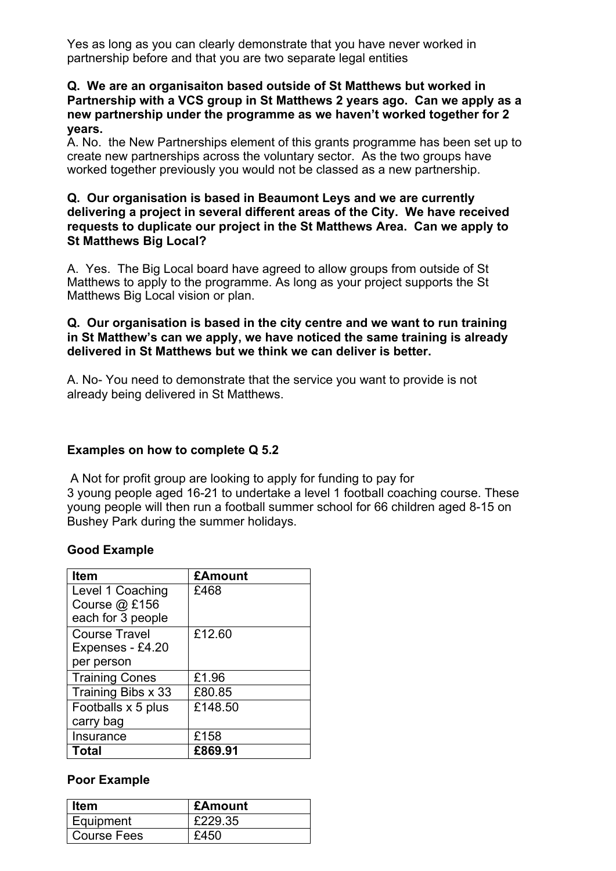Yes as long as you can clearly demonstrate that you have never worked in partnership before and that you are two separate legal entities

#### **Q. We are an organisaiton based outside of St Matthews but worked in Partnership with a VCS group in St Matthews 2 years ago. Can we apply as a new partnership under the programme as we haven't worked together for 2 years.**

A. No. the New Partnerships element of this grants programme has been set up to create new partnerships across the voluntary sector. As the two groups have worked together previously you would not be classed as a new partnership.

#### **Q. Our organisation is based in Beaumont Leys and we are currently delivering a project in several different areas of the City. We have received requests to duplicate our project in the St Matthews Area. Can we apply to St Matthews Big Local?**

A. Yes. The Big Local board have agreed to allow groups from outside of St Matthews to apply to the programme. As long as your project supports the St Matthews Big Local vision or plan.

## **Q. Our organisation is based in the city centre and we want to run training in St Matthew's can we apply, we have noticed the same training is already delivered in St Matthews but we think we can deliver is better.**

A. No- You need to demonstrate that the service you want to provide is not already being delivered in St Matthews.

# **Examples on how to complete Q 5.2**

A Not for profit group are looking to apply for funding to pay for 3 young people aged 16-21 to undertake a level 1 football coaching course. These young people will then run a football summer school for 66 children aged 8-15 on Bushey Park during the summer holidays.

# **Good Example**

| <b>Item</b>                       | £Amount |
|-----------------------------------|---------|
| Level 1 Coaching<br>Course @ £156 | £468    |
| each for 3 people                 |         |
| <b>Course Travel</b>              | £12.60  |
| Expenses - £4.20                  |         |
| per person                        |         |
| <b>Training Cones</b>             | £1.96   |
| Training Bibs x 33                | £80.85  |
| Footballs x 5 plus                | £148.50 |
| carry bag                         |         |
| Insurance                         | £158    |
| Total                             | £869.91 |

# **Poor Example**

| ltem               | £Amount |
|--------------------|---------|
| Equipment          | £229.35 |
| <b>Course Fees</b> | £450    |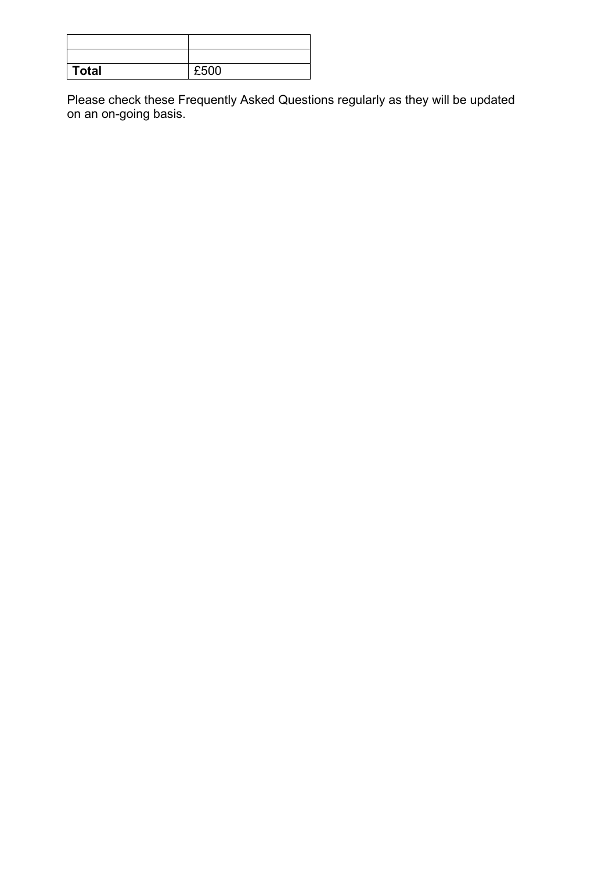| <b>Total</b> | £500 |
|--------------|------|

Please check these Frequently Asked Questions regularly as they will be updated on an on-going basis.